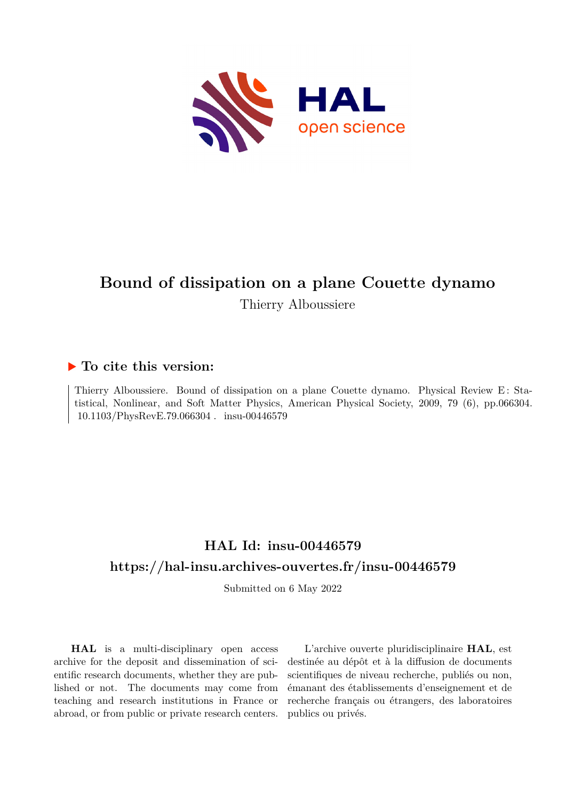

# **Bound of dissipation on a plane Couette dynamo**

Thierry Alboussiere

### **To cite this version:**

Thierry Alboussiere. Bound of dissipation on a plane Couette dynamo. Physical Review E: Statistical, Nonlinear, and Soft Matter Physics, American Physical Society, 2009, 79 (6), pp.066304. 10.1103/PhysRevE.79.066304. insu-00446579

## **HAL Id: insu-00446579 <https://hal-insu.archives-ouvertes.fr/insu-00446579>**

Submitted on 6 May 2022

**HAL** is a multi-disciplinary open access archive for the deposit and dissemination of scientific research documents, whether they are published or not. The documents may come from teaching and research institutions in France or abroad, or from public or private research centers.

L'archive ouverte pluridisciplinaire **HAL**, est destinée au dépôt et à la diffusion de documents scientifiques de niveau recherche, publiés ou non, émanant des établissements d'enseignement et de recherche français ou étrangers, des laboratoires publics ou privés.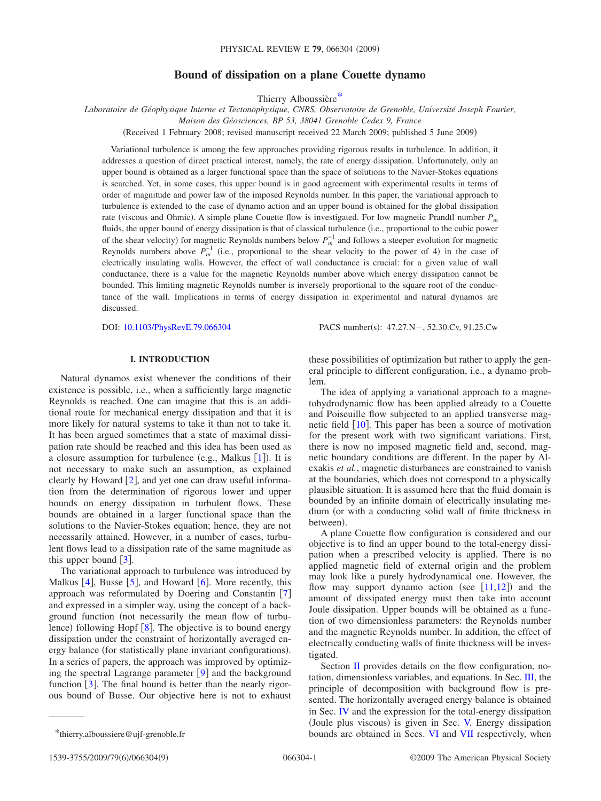### **Bound of dissipation on a plane Couette dynamo**

Thierry Alboussière\*

*Laboratoire de Géophysique Interne et Tectonophysique, CNRS, Observatoire de Grenoble, Université Joseph Fourier,*

*Maison des Géosciences, BP 53, 38041 Grenoble Cedex 9, France*

Received 1 February 2008; revised manuscript received 22 March 2009; published 5 June 2009-

Variational turbulence is among the few approaches providing rigorous results in turbulence. In addition, it addresses a question of direct practical interest, namely, the rate of energy dissipation. Unfortunately, only an upper bound is obtained as a larger functional space than the space of solutions to the Navier-Stokes equations is searched. Yet, in some cases, this upper bound is in good agreement with experimental results in terms of order of magnitude and power law of the imposed Reynolds number. In this paper, the variational approach to turbulence is extended to the case of dynamo action and an upper bound is obtained for the global dissipation rate (viscous and Ohmic). A simple plane Couette flow is investigated. For low magnetic Prandtl number  $P_m$ fluids, the upper bound of energy dissipation is that of classical turbulence i.e., proportional to the cubic power of the shear velocity) for magnetic Reynolds numbers below  $P_m^{-1}$  and follows a steeper evolution for magnetic Reynolds numbers above  $P_m^{-1}$  (i.e., proportional to the shear velocity to the power of 4) in the case of electrically insulating walls. However, the effect of wall conductance is crucial: for a given value of wall conductance, there is a value for the magnetic Reynolds number above which energy dissipation cannot be bounded. This limiting magnetic Reynolds number is inversely proportional to the square root of the conductance of the wall. Implications in terms of energy dissipation in experimental and natural dynamos are discussed.

DOI: [10.1103/PhysRevE.79.066304](http://dx.doi.org/10.1103/PhysRevE.79.066304)

PACS number(s):  $47.27.N - 52.30.Cv, 91.25.Cw$ 

#### **I. INTRODUCTION**

Natural dynamos exist whenever the conditions of their existence is possible, i.e., when a sufficiently large magnetic Reynolds is reached. One can imagine that this is an additional route for mechanical energy dissipation and that it is more likely for natural systems to take it than not to take it. It has been argued sometimes that a state of maximal dissipation rate should be reached and this idea has been used as a closure assumption for turbulence (e.g., Malkus  $[1]$ ). It is not necessary to make such an assumption, as explained clearly by Howard  $[2]$ , and yet one can draw useful information from the determination of rigorous lower and upper bounds on energy dissipation in turbulent flows. These bounds are obtained in a larger functional space than the solutions to the Navier-Stokes equation; hence, they are not necessarily attained. However, in a number of cases, turbulent flows lead to a dissipation rate of the same magnitude as this upper bound  $\left[3\right]$ .

The variational approach to turbulence was introduced by Malkus  $[4]$ , Busse  $[5]$ , and Howard  $[6]$ . More recently, this approach was reformulated by Doering and Constantin [7] and expressed in a simpler way, using the concept of a background function (not necessarily the mean flow of turbulence) following Hopf  $[8]$ . The objective is to bound energy dissipation under the constraint of horizontally averaged energy balance (for statistically plane invariant configurations). In a series of papers, the approach was improved by optimizing the spectral Lagrange parameter  $[9]$  and the background function  $\lceil 3 \rceil$ . The final bound is better than the nearly rigorous bound of Busse. Our objective here is not to exhaust these possibilities of optimization but rather to apply the general principle to different configuration, i.e., a dynamo problem.

The idea of applying a variational approach to a magnetohydrodynamic flow has been applied already to a Couette and Poiseuille flow subjected to an applied transverse magnetic field  $\lceil 10 \rceil$ . This paper has been a source of motivation for the present work with two significant variations. First, there is now no imposed magnetic field and, second, magnetic boundary conditions are different. In the paper by Alexakis *et al.*, magnetic disturbances are constrained to vanish at the boundaries, which does not correspond to a physically plausible situation. It is assumed here that the fluid domain is bounded by an infinite domain of electrically insulating medium (or with a conducting solid wall of finite thickness in between).

A plane Couette flow configuration is considered and our objective is to find an upper bound to the total-energy dissipation when a prescribed velocity is applied. There is no applied magnetic field of external origin and the problem may look like a purely hydrodynamical one. However, the flow may support dynamo action (see  $[11,12]$ ) and the amount of dissipated energy must then take into account Joule dissipation. Upper bounds will be obtained as a function of two dimensionless parameters: the Reynolds number and the magnetic Reynolds number. In addition, the effect of electrically conducting walls of finite thickness will be investigated.

Section II provides details on the flow configuration, notation, dimensionless variables, and equations. In Sec. III, the principle of decomposition with background flow is presented. The horizontally averaged energy balance is obtained in Sec. IV and the expression for the total-energy dissipation (Joule plus viscous) is given in Sec. V. Energy dissipation \*thierry.alboussiere@ujf-grenoble.fr bounds are obtained in Secs. VI and VII respectively, when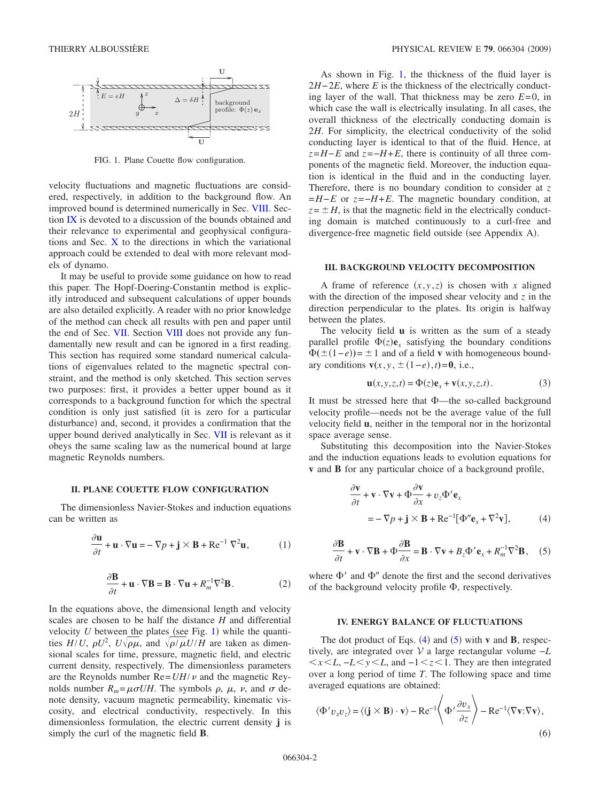

FIG. 1. Plane Couette flow configuration.

velocity fluctuations and magnetic fluctuations are considered, respectively, in addition to the background flow. An improved bound is determined numerically in Sec. VIII. Section IX is devoted to a discussion of the bounds obtained and their relevance to experimental and geophysical configurations and Sec. X to the directions in which the variational approach could be extended to deal with more relevant models of dynamo.

It may be useful to provide some guidance on how to read this paper. The Hopf-Doering-Constantin method is explicitly introduced and subsequent calculations of upper bounds are also detailed explicitly. A reader with no prior knowledge of the method can check all results with pen and paper until the end of Sec. VII. Section VIII does not provide any fundamentally new result and can be ignored in a first reading. This section has required some standard numerical calculations of eigenvalues related to the magnetic spectral constraint, and the method is only sketched. This section serves two purposes: first, it provides a better upper bound as it corresponds to a background function for which the spectral condition is only just satisfied (it is zero for a particular disturbance) and, second, it provides a confirmation that the upper bound derived analytically in Sec. VII is relevant as it obeys the same scaling law as the numerical bound at large magnetic Reynolds numbers.

#### **II. PLANE COUETTE FLOW CONFIGURATION**

The dimensionless Navier-Stokes and induction equations can be written as

$$
\frac{\partial \mathbf{u}}{\partial t} + \mathbf{u} \cdot \nabla \mathbf{u} = -\nabla p + \mathbf{j} \times \mathbf{B} + \text{Re}^{-1} \nabla^2 \mathbf{u},\tag{1}
$$

$$
\frac{\partial \mathbf{B}}{\partial t} + \mathbf{u} \cdot \nabla \mathbf{B} = \mathbf{B} \cdot \nabla \mathbf{u} + R_m^{-1} \nabla^2 \mathbf{B}.
$$
 (2)

In the equations above, the dimensional length and velocity scales are chosen to be half the distance *H* and differential velocity  $U$  between the plates (see Fig. 1) while the quantities  $H/U$ ,  $\rho U^2$ ,  $U\sqrt{\rho\mu}$ , and  $\sqrt{\rho/\mu}U/H$  are taken as dimensional scales for time, pressure, magnetic field, and electric current density, respectively. The dimensionless parameters are the Reynolds number  $\text{Re}=UH/v$  and the magnetic Reynolds number  $R_m = \mu \sigma U H$ . The symbols  $\rho$ ,  $\mu$ ,  $\nu$ , and  $\sigma$  denote density, vacuum magnetic permeability, kinematic viscosity, and electrical conductivity, respectively. In this dimensionless formulation, the electric current density **j** is simply the curl of the magnetic field **B**.

As shown in Fig. 1, the thickness of the fluid layer is 2*H*−2*E*, where *E* is the thickness of the electrically conducting layer of the wall. That thickness may be zero *E*=0, in which case the wall is electrically insulating. In all cases, the overall thickness of the electrically conducting domain is 2*H*. For simplicity, the electrical conductivity of the solid conducting layer is identical to that of the fluid. Hence, at  $z = H - E$  and  $z = -H + E$ , there is continuity of all three components of the magnetic field. Moreover, the induction equation is identical in the fluid and in the conducting layer. Therefore, there is no boundary condition to consider at *z* =*H*−*E* or *z*=−*H*+*E*. The magnetic boundary condition, at  $z = \pm H$ , is that the magnetic field in the electrically conducting domain is matched continuously to a curl-free and divergence-free magnetic field outside (see Appendix A).

#### **III. BACKGROUND VELOCITY DECOMPOSITION**

A frame of reference  $(x, y, z)$  is chosen with *x* aligned with the direction of the imposed shear velocity and *z* in the direction perpendicular to the plates. Its origin is halfway between the plates.

The velocity field **u** is written as the sum of a steady parallel profile  $\Phi(z)$ **e**<sub>*x*</sub> satisfying the boundary conditions  $\Phi(\pm(1-e)) = \pm 1$  and of a field **v** with homogeneous boundary conditions  $\mathbf{v}(x, y, \pm (1-e), t) = \mathbf{0}$ , i.e.,

$$
\mathbf{u}(x, y, z, t) = \Phi(z)\mathbf{e}_x + \mathbf{v}(x, y, z, t).
$$
 (3)

It must be stressed here that  $\Phi$ —the so-called background velocity profile—needs not be the average value of the full velocity field **u**, neither in the temporal nor in the horizontal space average sense.

Substituting this decomposition into the Navier-Stokes and the induction equations leads to evolution equations for **v** and **B** for any particular choice of a background profile,

$$
\frac{\partial \mathbf{v}}{\partial t} + \mathbf{v} \cdot \nabla \mathbf{v} + \Phi \frac{\partial \mathbf{v}}{\partial x} + v_z \Phi' \mathbf{e}_x
$$
  
=  $-\nabla p + \mathbf{j} \times \mathbf{B} + \text{Re}^{-1} [\Phi'' \mathbf{e}_x + \nabla^2 \mathbf{v}],$  (4)

$$
\frac{\partial \mathbf{B}}{\partial t} + \mathbf{v} \cdot \nabla \mathbf{B} + \Phi \frac{\partial \mathbf{B}}{\partial x} = \mathbf{B} \cdot \nabla \mathbf{v} + B_z \Phi' \mathbf{e}_x + R_m^{-1} \nabla^2 \mathbf{B}, \quad (5)
$$

where  $\Phi'$  and  $\Phi''$  denote the first and the second derivatives of the background velocity profile  $\Phi$ , respectively.

#### **IV. ENERGY BALANCE OF FLUCTUATIONS**

The dot product of Eqs.  $(4)$  and  $(5)$  with **v** and **B**, respectively, are integrated over V a large rectangular volume −*L*  $\langle x \rangle L$ ,  $-L \langle y \rangle L$ , and  $-1 \langle z \rangle 1$ . They are then integrated over a long period of time *T*. The following space and time averaged equations are obtained:

$$
\langle \Phi' v_x v_z \rangle = \langle (\mathbf{j} \times \mathbf{B}) \cdot \mathbf{v} \rangle - \text{Re}^{-1} \langle \Phi' \frac{\partial v_x}{\partial z} \rangle - \text{Re}^{-1} \langle \nabla \mathbf{v} : \nabla \mathbf{v} \rangle, \tag{6}
$$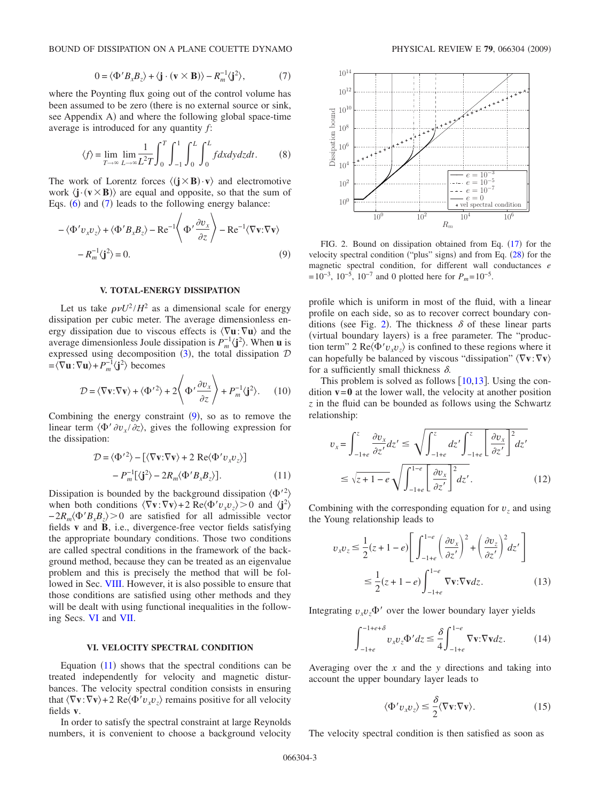BOUND OF DISSIPATION ON A PLANE COUETTE DYNAMO PHYSICAL REVIEW E 79, 066304 (2009)

$$
0 = \langle \Phi' B_x B_z \rangle + \langle \mathbf{j} \cdot (\mathbf{v} \times \mathbf{B}) \rangle - R_m^{-1} \langle \mathbf{j}^2 \rangle, \tag{7}
$$

where the Poynting flux going out of the control volume has been assumed to be zero (there is no external source or sink, see Appendix A) and where the following global space-time average is introduced for any quantity *f*:

$$
\langle f \rangle = \lim_{T \to \infty} \lim_{L \to \infty} \frac{1}{L^2 T} \int_0^T \int_{-1}^1 \int_0^L \int_0^L f dx dy dz dt.
$$
 (8)

The work of Lorentz forces  $\langle (\mathbf{j} \times \mathbf{B}) \cdot \mathbf{v} \rangle$  and electromotive work  $\langle \mathbf{j} \cdot (\mathbf{v} \times \mathbf{B}) \rangle$  are equal and opposite, so that the sum of Eqs.  $(6)$  and  $(7)$  leads to the following energy balance:

$$
-\langle \Phi' v_x v_z \rangle + \langle \Phi' B_x B_z \rangle - \text{Re}^{-1} \langle \Phi' \frac{\partial v_x}{\partial z} \rangle - \text{Re}^{-1} \langle \nabla \mathbf{v} : \nabla \mathbf{v} \rangle
$$

$$
-R_m^{-1} \langle \mathbf{j}^2 \rangle = 0. \tag{9}
$$

#### **V. TOTAL-ENERGY DISSIPATION**

Let us take  $\rho \nu U^2 / H^2$  as a dimensional scale for energy dissipation per cubic meter. The average dimensionless energy dissipation due to viscous effects is  $\langle \nabla \mathbf{u} : \nabla \mathbf{u} \rangle$  and the average dimensionless Joule dissipation is  $P_m^{-1}$  $\langle \mathbf{j}^2 \rangle$ . When **u** is expressed using decomposition (3), the total dissipation  $D$  $= \langle \nabla \mathbf{u} : \nabla \mathbf{u} \rangle + P_m^{-1} \langle \mathbf{j}^2 \rangle$  becomes

$$
\mathcal{D} = \langle \nabla \mathbf{v} : \nabla \mathbf{v} \rangle + \langle \Phi'^2 \rangle + 2 \left\langle \Phi' \frac{\partial v_x}{\partial z} \right\rangle + P_m^{-1} \langle \mathbf{j}^2 \rangle. \tag{10}
$$

Combining the energy constraint  $(9)$ , so as to remove the linear term  $\langle \Phi' \partial v_x / \partial z \rangle$ , gives the following expression for the dissipation:

$$
\mathcal{D} = \langle \Phi'^2 \rangle - [\langle \nabla \mathbf{v} : \nabla \mathbf{v} \rangle + 2 \operatorname{Re} \langle \Phi' v_x v_z \rangle] \n- P_m^{-1} [\langle \mathbf{j}^2 \rangle - 2R_m \langle \Phi' B_x B_z \rangle].
$$
\n(11)

Dissipation is bounded by the background dissipation  $\langle \Phi^2 \rangle$ when both conditions  $\langle \nabla v : \nabla v \rangle + 2 \text{ Re} \langle \Phi' v_x v_z \rangle > 0$  and  $\langle \mathbf{j}^2 \rangle$  $-2R_m \langle \Phi' B_x B_z \rangle > 0$  are satisfied for all admissible vector fields **v** and **B**, i.e., divergence-free vector fields satisfying the appropriate boundary conditions. Those two conditions are called spectral conditions in the framework of the background method, because they can be treated as an eigenvalue problem and this is precisely the method that will be followed in Sec. VIII. However, it is also possible to ensure that those conditions are satisfied using other methods and they will be dealt with using functional inequalities in the following Secs. VI and VII.

#### **VI. VELOCITY SPECTRAL CONDITION**

Equation  $(11)$  shows that the spectral conditions can be treated independently for velocity and magnetic disturbances. The velocity spectral condition consists in ensuring that  $\langle \nabla \mathbf{v} : \nabla \mathbf{v} \rangle$  + 2 Re $\langle \Phi' v_x v_z \rangle$  remains positive for all velocity fields **v**.

In order to satisfy the spectral constraint at large Reynolds numbers, it is convenient to choose a background velocity



FIG. 2. Bound on dissipation obtained from Eq.  $(17)$  for the velocity spectral condition ("plus" signs) and from Eq.  $(28)$  for the magnetic spectral condition, for different wall conductances *e*  $=10^{-3}$ , 10<sup>-5</sup>, 10<sup>-7</sup> and 0 plotted here for  $P_m=10^{-5}$ .

profile which is uniform in most of the fluid, with a linear profile on each side, so as to recover correct boundary conditions (see Fig. 2). The thickness  $\delta$  of these linear parts (virtual boundary layers) is a free parameter. The "production term" 2 Re $\langle \Phi' v_x v_z \rangle$  is confined to these regions where it can hopefully be balanced by viscous "dissipation"  $\langle \nabla v : \nabla v \rangle$ for a sufficiently small thickness  $\delta$ .

This problem is solved as follows  $[10,13]$ . Using the condition  $v=0$  at the lower wall, the velocity at another position *z* in the fluid can be bounded as follows using the Schwartz relationship:

$$
v_x = \int_{-1+e}^{z} \frac{\partial v_x}{\partial z'} dz' \le \sqrt{\int_{-1+e}^{z} dz' \int_{-1+e}^{z} \left[ \frac{\partial v_x}{\partial z'} \right]^{2} dz'}
$$
  

$$
\le \sqrt{z+1-e} \sqrt{\int_{-1+e}^{1-e} \left[ \frac{\partial v_x}{\partial z'} \right]^{2} dz'}.
$$
 (12)

Combining with the corresponding equation for  $v<sub>z</sub>$  and using the Young relationship leads to

$$
v_x v_z \le \frac{1}{2} (z + 1 - e) \left[ \int_{-1+e}^{1-e} \left( \frac{\partial v_x}{\partial z'} \right)^2 + \left( \frac{\partial v_z}{\partial z'} \right)^2 dz' \right]
$$
  

$$
\le \frac{1}{2} (z + 1 - e) \int_{-1+e}^{1-e} \nabla \mathbf{v} \cdot \nabla \mathbf{v} dz.
$$
 (13)

Integrating  $v_x v_z \Phi'$  over the lower boundary layer yields

$$
\int_{-1+e}^{-1+e+\delta} v_x v_z \Phi' dz \leq \frac{\delta}{4} \int_{-1+e}^{1-e} \nabla \mathbf{v} \cdot \nabla \mathbf{v} dz.
$$
 (14)

Averaging over the *x* and the *y* directions and taking into account the upper boundary layer leads to

$$
\langle \Phi' v_x v_z \rangle \le \frac{\delta}{2} \langle \nabla \mathbf{v} : \nabla \mathbf{v} \rangle. \tag{15}
$$

The velocity spectral condition is then satisfied as soon as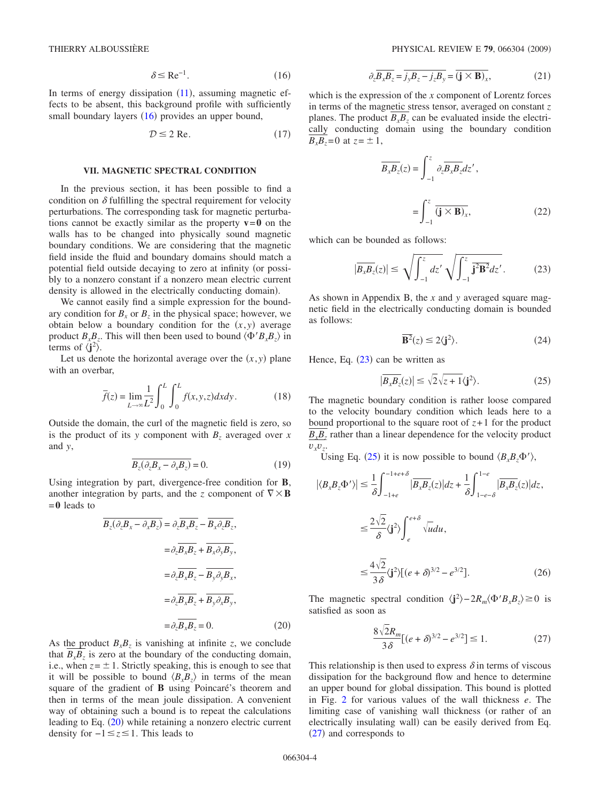$$
\delta \le \text{Re}^{-1}.\tag{16}
$$

In terms of energy dissipation  $(11)$ , assuming magnetic effects to be absent, this background profile with sufficiently small boundary layers  $(16)$  provides an upper bound,

$$
\mathcal{D} \le 2 \text{ Re.} \tag{17}
$$

#### **VII. MAGNETIC SPECTRAL CONDITION**

In the previous section, it has been possible to find a condition on  $\delta$  fulfilling the spectral requirement for velocity perturbations. The corresponding task for magnetic perturbations cannot be exactly similar as the property  $v=0$  on the walls has to be changed into physically sound magnetic boundary conditions. We are considering that the magnetic field inside the fluid and boundary domains should match a potential field outside decaying to zero at infinity (or possibly to a nonzero constant if a nonzero mean electric current density is allowed in the electrically conducting domain).

We cannot easily find a simple expression for the boundary condition for  $B_x$  or  $B_z$  in the physical space; however, we obtain below a boundary condition for the  $(x, y)$  average product  $B_xB_z$ . This will then been used to bound  $\langle \Phi' B_x B_z \rangle$  in terms of  $\langle j^2 \rangle$ .

Let us denote the horizontal average over the  $(x, y)$  plane with an overbar,

$$
\overline{f}(z) = \lim_{L \to \infty} \frac{1}{L^2} \int_0^L \int_0^L f(x, y, z) dx dy.
$$
 (18)

Outside the domain, the curl of the magnetic field is zero, so is the product of its *y* component with  $B<sub>z</sub>$  averaged over *x* and *y*,

$$
\overline{B_z(\partial_z B_x - \partial_x B_z)} = 0. \tag{19}
$$

Using integration by part, divergence-free condition for **B**, another integration by parts, and the *z* component of  $\nabla \times \mathbf{B}$ =**0** leads to

$$
B_z(\partial_z B_x - \partial_x B_z) = \partial_z B_x B_z - B_x \partial_z B_z,
$$
  

$$
= \partial_z \overline{B_x B_z} + \overline{B_x \partial_y B_y},
$$
  

$$
= \partial_z \overline{B_x B_z} - \overline{B_y \partial_y B_x},
$$
  

$$
= \partial_z \overline{B_x B_z} + \overline{B_y \partial_x B_y},
$$
  

$$
= \partial_z \overline{B_x B_z} = 0.
$$
 (20)

As the product  $B_xB_z$  is vanishing at infinite *z*, we conclude that  $B_x B_z$  is zero at the boundary of the conducting domain, i.e., when  $z = \pm 1$ . Strictly speaking, this is enough to see that it will be possible to bound  $\langle B_x B_z \rangle$  in terms of the mean square of the gradient of **B** using Poincaré's theorem and then in terms of the mean joule dissipation. A convenient way of obtaining such a bound is to repeat the calculations leading to Eq. (20) while retaining a nonzero electric current density for −1 *z* 1. This leads to

$$
\partial_z \overline{B_x B_z} = \overline{j_y B_z - j_z B_y} = \overline{(\mathbf{j} \times \mathbf{B})_x},\tag{21}
$$

which is the expression of the *x* component of Lorentz forces in terms of the magnetic stress tensor, averaged on constant *z* planes. The product  $B_xB_y$  can be evaluated inside the electrically conducting domain using the boundary condition  $B_x B_z = 0$  at  $z = \pm 1$ ,

$$
\overline{B_x B_z}(z) = \int_{-1}^{z} \partial_z \overline{B_x B_z} dz',
$$

$$
= \int_{-1}^{z} \overline{(\mathbf{j} \times \mathbf{B})_x},
$$
(22)

which can be bounded as follows:

$$
|\overline{B_xB_z}(z)| \leq \sqrt{\int_{-1}^z dz'} \sqrt{\int_{-1}^z \overline{\mathbf{j}^2 \mathbf{B}^2} dz'}.
$$
 (23)

As shown in Appendix B, the *x* and *y* averaged square magnetic field in the electrically conducting domain is bounded as follows:

$$
\mathbf{B}^2(z) \le 2\langle \mathbf{j}^2 \rangle. \tag{24}
$$

Hence, Eq.  $(23)$  can be written as

$$
|\overline{B_xB_z}(z)| \le \sqrt{2}\sqrt{z+1}\langle \mathbf{j}^2 \rangle. \tag{25}
$$

The magnetic boundary condition is rather loose compared to the velocity boundary condition which leads here to a bound proportional to the square root of  $z+1$  for the product  $B<sub>x</sub>B<sub>z</sub>$  rather than a linear dependence for the velocity product  $v_x v_z$ .

Using Eq. (25) it is now possible to bound  $\langle B_x B_z \Phi' \rangle$ ,

$$
|\langle B_x B_z \Phi' \rangle| \leq \frac{1}{\delta} \int_{-1+e}^{-1+e+\delta} |\overline{B_x B_z}(z)| dz + \frac{1}{\delta} \int_{1-e-\delta}^{1-e} |\overline{B_x B_z}(z)| dz,
$$
  

$$
\leq \frac{2\sqrt{2}}{\delta} \langle j^2 \rangle \int_{e}^{e+\delta} \sqrt{u} du,
$$
  

$$
\leq \frac{4\sqrt{2}}{3\delta} \langle j^2 \rangle [(e+\delta)^{3/2} - e^{3/2}].
$$
 (26)

The magnetic spectral condition  $\langle \mathbf{j}^2 \rangle - 2R_m \langle \Phi' B_x B_z \rangle \ge 0$  is satisfied as soon as

$$
\frac{8\sqrt{2}R_m}{3\delta}[(e+\delta)^{3/2} - e^{3/2}] \le 1.
$$
 (27)

This relationship is then used to express  $\delta$  in terms of viscous dissipation for the background flow and hence to determine an upper bound for global dissipation. This bound is plotted in Fig. 2 for various values of the wall thickness *e*. The limiting case of vanishing wall thickness (or rather of an electrically insulating wall) can be easily derived from Eq. (27) and corresponds to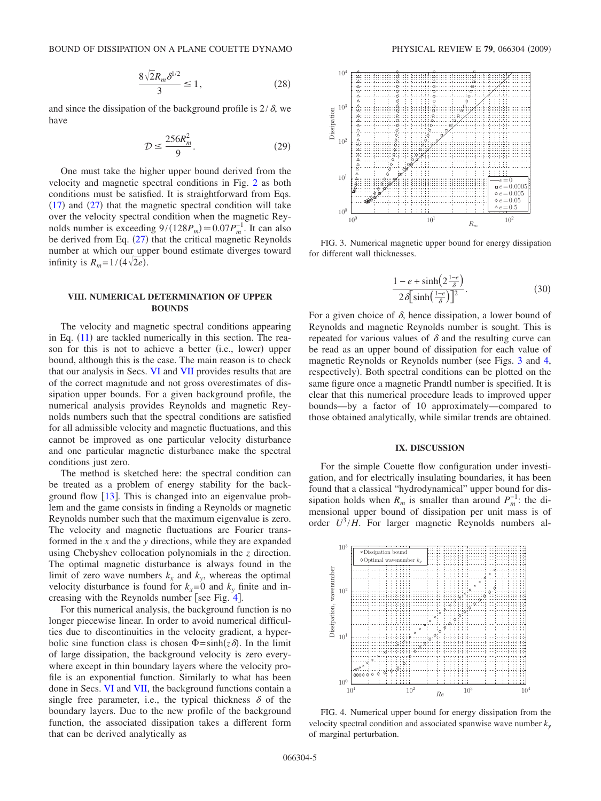$$
\frac{8\sqrt{2}R_m\delta^{1/2}}{3} \le 1,
$$
\n(28)

and since the dissipation of the background profile is  $2/\delta$ , we have

$$
\mathcal{D} \le \frac{256R_m^2}{9}.\tag{29}
$$

One must take the higher upper bound derived from the velocity and magnetic spectral conditions in Fig. 2 as both conditions must be satisfied. It is straightforward from Eqs.  $(17)$  and  $(27)$  that the magnetic spectral condition will take over the velocity spectral condition when the magnetic Reynolds number is exceeding  $9/(128P_m) \approx 0.07P_m^{-1}$ . It can also be derived from Eq.  $(27)$  that the critical magnetic Reynolds number at which our upper bound estimate diverges toward infinity is  $R_m = 1/(4\sqrt{2e})$ .

#### **VIII. NUMERICAL DETERMINATION OF UPPER BOUNDS**

The velocity and magnetic spectral conditions appearing in Eq.  $(11)$  are tackled numerically in this section. The reason for this is not to achieve a better (i.e., lower) upper bound, although this is the case. The main reason is to check that our analysis in Secs. VI and VII provides results that are of the correct magnitude and not gross overestimates of dissipation upper bounds. For a given background profile, the numerical analysis provides Reynolds and magnetic Reynolds numbers such that the spectral conditions are satisfied for all admissible velocity and magnetic fluctuations, and this cannot be improved as one particular velocity disturbance and one particular magnetic disturbance make the spectral conditions just zero.

The method is sketched here: the spectral condition can be treated as a problem of energy stability for the background flow  $[13]$ . This is changed into an eigenvalue problem and the game consists in finding a Reynolds or magnetic Reynolds number such that the maximum eigenvalue is zero. The velocity and magnetic fluctuations are Fourier transformed in the *x* and the *y* directions, while they are expanded using Chebyshev collocation polynomials in the *z* direction. The optimal magnetic disturbance is always found in the limit of zero wave numbers  $k_x$  and  $k_y$ , whereas the optimal velocity disturbance is found for  $k_x=0$  and  $k_y$  finite and increasing with the Reynolds number [see Fig. 4].

For this numerical analysis, the background function is no longer piecewise linear. In order to avoid numerical difficulties due to discontinuities in the velocity gradient, a hyperbolic sine function class is chosen  $\Phi = \sinh(z\delta)$ . In the limit of large dissipation, the background velocity is zero everywhere except in thin boundary layers where the velocity profile is an exponential function. Similarly to what has been done in Secs. VI and VII, the background functions contain a single free parameter, i.e., the typical thickness  $\delta$  of the boundary layers. Due to the new profile of the background function, the associated dissipation takes a different form that can be derived analytically as



FIG. 3. Numerical magnetic upper bound for energy dissipation for different wall thicknesses.

$$
\frac{1 - e + \sinh\left(2\frac{1 - e}{\delta}\right)}{2\delta \left[\sinh\left(\frac{1 - e}{\delta}\right)\right]^2}.
$$
 (30)

For a given choice of  $\delta$ , hence dissipation, a lower bound of Reynolds and magnetic Reynolds number is sought. This is repeated for various values of  $\delta$  and the resulting curve can be read as an upper bound of dissipation for each value of magnetic Reynolds or Reynolds number (see Figs. 3 and 4, respectively). Both spectral conditions can be plotted on the same figure once a magnetic Prandtl number is specified. It is clear that this numerical procedure leads to improved upper bounds—by a factor of 10 approximately—compared to those obtained analytically, while similar trends are obtained.

#### **IX. DISCUSSION**

For the simple Couette flow configuration under investigation, and for electrically insulating boundaries, it has been found that a classical "hydrodynamical" upper bound for dissipation holds when  $R_m$  is smaller than around  $P_m^{-1}$ : the dimensional upper bound of dissipation per unit mass is of order  $U^3/H$ . For larger magnetic Reynolds numbers al-



FIG. 4. Numerical upper bound for energy dissipation from the velocity spectral condition and associated spanwise wave number  $k_y$ of marginal perturbation.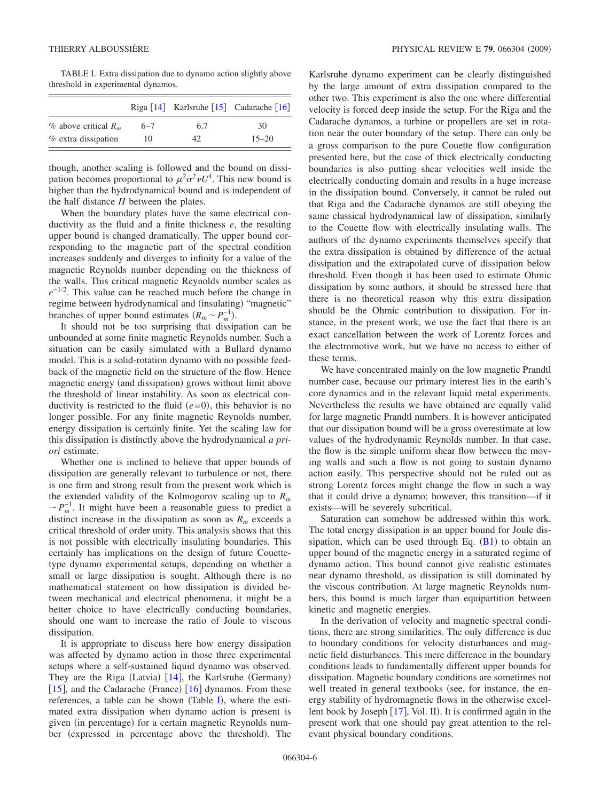TABLE I. Extra dissipation due to dynamo action slightly above threshold in experimental dynamos.

|                           |         | Riga [14] Karlsruhe [15] Cadarache [16] |           |
|---------------------------|---------|-----------------------------------------|-----------|
| $\%$ above critical $R_m$ | $6 - 7$ | 6.7                                     | 30        |
| % extra dissipation       | 10      | 42                                      | $15 - 20$ |

though, another scaling is followed and the bound on dissipation becomes proportional to  $\mu^2 \sigma^2 \nu U^4$ . This new bound is higher than the hydrodynamical bound and is independent of the half distance *H* between the plates.

When the boundary plates have the same electrical conductivity as the fluid and a finite thickness *e*, the resulting upper bound is changed dramatically. The upper bound corresponding to the magnetic part of the spectral condition increases suddenly and diverges to infinity for a value of the magnetic Reynolds number depending on the thickness of the walls. This critical magnetic Reynolds number scales as *e*<sup>−1/2</sup>. This value can be reached much before the change in regime between hydrodynamical and (insulating) "magnetic" branches of upper bound estimates  $(R_m \sim P_m^{-1})$ .

It should not be too surprising that dissipation can be unbounded at some finite magnetic Reynolds number. Such a situation can be easily simulated with a Bullard dynamo model. This is a solid-rotation dynamo with no possible feedback of the magnetic field on the structure of the flow. Hence magnetic energy (and dissipation) grows without limit above the threshold of linear instability. As soon as electrical conductivity is restricted to the fluid  $(e=0)$ , this behavior is no longer possible. For any finite magnetic Reynolds number, energy dissipation is certainly finite. Yet the scaling law for this dissipation is distinctly above the hydrodynamical *a priori* estimate.

Whether one is inclined to believe that upper bounds of dissipation are generally relevant to turbulence or not, there is one firm and strong result from the present work which is the extended validity of the Kolmogorov scaling up to *Rm*  $\sim P_m^{-1}$ . It might have been a reasonable guess to predict a distinct increase in the dissipation as soon as  $R_m$  exceeds a critical threshold of order unity. This analysis shows that this is not possible with electrically insulating boundaries. This certainly has implications on the design of future Couettetype dynamo experimental setups, depending on whether a small or large dissipation is sought. Although there is no mathematical statement on how dissipation is divided between mechanical and electrical phenomena, it might be a better choice to have electrically conducting boundaries, should one want to increase the ratio of Joule to viscous dissipation.

It is appropriate to discuss here how energy dissipation was affected by dynamo action in those three experimental setups where a self-sustained liquid dynamo was observed. They are the Riga (Latvia)  $[14]$ , the Karlsruhe (Germany) [15], and the Cadarache (France)  $[16]$  dynamos. From these references, a table can be shown (Table I), where the estimated extra dissipation when dynamo action is present is given (in percentage) for a certain magnetic Reynolds number (expressed in percentage above the threshold). The

Karlsruhe dynamo experiment can be clearly distinguished by the large amount of extra dissipation compared to the other two. This experiment is also the one where differential velocity is forced deep inside the setup. For the Riga and the Cadarache dynamos, a turbine or propellers are set in rotation near the outer boundary of the setup. There can only be a gross comparison to the pure Couette flow configuration presented here, but the case of thick electrically conducting boundaries is also putting shear velocities well inside the electrically conducting domain and results in a huge increase in the dissipation bound. Conversely, it cannot be ruled out that Riga and the Cadarache dynamos are still obeying the same classical hydrodynamical law of dissipation, similarly to the Couette flow with electrically insulating walls. The authors of the dynamo experiments themselves specify that the extra dissipation is obtained by difference of the actual dissipation and the extrapolated curve of dissipation below threshold. Even though it has been used to estimate Ohmic dissipation by some authors, it should be stressed here that there is no theoretical reason why this extra dissipation should be the Ohmic contribution to dissipation. For instance, in the present work, we use the fact that there is an exact cancellation between the work of Lorentz forces and the electromotive work, but we have no access to either of these terms.

We have concentrated mainly on the low magnetic Prandtl number case, because our primary interest lies in the earth's core dynamics and in the relevant liquid metal experiments. Nevertheless the results we have obtained are equally valid for large magnetic Prandtl numbers. It is however anticipated that our dissipation bound will be a gross overestimate at low values of the hydrodynamic Reynolds number. In that case, the flow is the simple uniform shear flow between the moving walls and such a flow is not going to sustain dynamo action easily. This perspective should not be ruled out as strong Lorentz forces might change the flow in such a way that it could drive a dynamo; however, this transition—if it exists—will be severely subcritical.

Saturation can somehow be addressed within this work. The total energy dissipation is an upper bound for Joule dissipation, which can be used through Eq.  $(B1)$  to obtain an upper bound of the magnetic energy in a saturated regime of dynamo action. This bound cannot give realistic estimates near dynamo threshold, as dissipation is still dominated by the viscous contribution. At large magnetic Reynolds numbers, this bound is much larger than equipartition between kinetic and magnetic energies.

In the derivation of velocity and magnetic spectral conditions, there are strong similarities. The only difference is due to boundary conditions for velocity disturbances and magnetic field disturbances. This mere difference in the boundary conditions leads to fundamentally different upper bounds for dissipation. Magnetic boundary conditions are sometimes not well treated in general textbooks (see, for instance, the energy stability of hydromagnetic flows in the otherwise excellent book by Joseph [17], Vol. II). It is confirmed again in the present work that one should pay great attention to the relevant physical boundary conditions.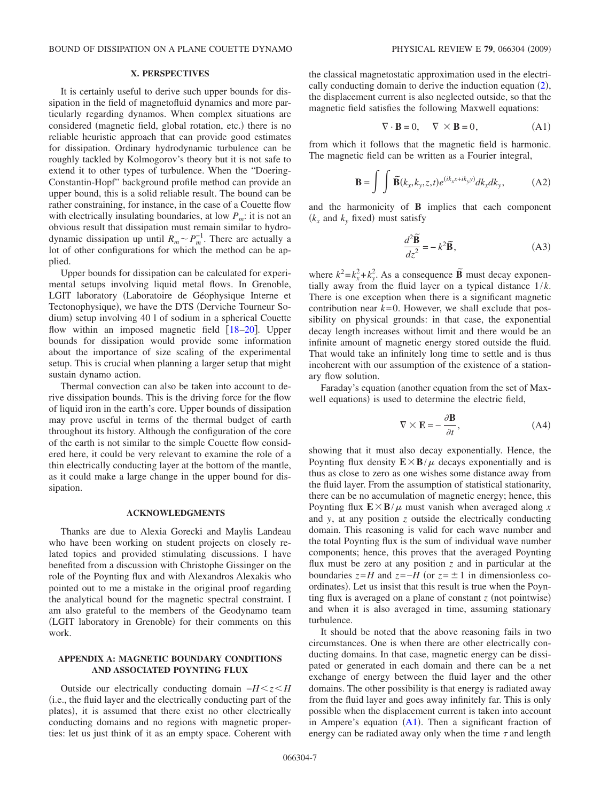#### **X. PERSPECTIVES**

It is certainly useful to derive such upper bounds for dissipation in the field of magnetofluid dynamics and more particularly regarding dynamos. When complex situations are considered (magnetic field, global rotation, etc.) there is no reliable heuristic approach that can provide good estimates for dissipation. Ordinary hydrodynamic turbulence can be roughly tackled by Kolmogorov's theory but it is not safe to extend it to other types of turbulence. When the "Doering-Constantin-Hopf" background profile method can provide an upper bound, this is a solid reliable result. The bound can be rather constraining, for instance, in the case of a Couette flow with electrically insulating boundaries, at low  $P_m$ : it is not an obvious result that dissipation must remain similar to hydrodynamic dissipation up until  $R_m \sim P_m^{-1}$ . There are actually a lot of other configurations for which the method can be applied.

Upper bounds for dissipation can be calculated for experimental setups involving liquid metal flows. In Grenoble, LGIT laboratory Laboratoire de Géophysique Interne et Tectonophysique), we have the DTS (Derviche Tourneur Sodium) setup involving 40 l of sodium in a spherical Couette flow within an imposed magnetic field  $[18–20]$ . Upper bounds for dissipation would provide some information about the importance of size scaling of the experimental setup. This is crucial when planning a larger setup that might sustain dynamo action.

Thermal convection can also be taken into account to derive dissipation bounds. This is the driving force for the flow of liquid iron in the earth's core. Upper bounds of dissipation may prove useful in terms of the thermal budget of earth throughout its history. Although the configuration of the core of the earth is not similar to the simple Couette flow considered here, it could be very relevant to examine the role of a thin electrically conducting layer at the bottom of the mantle, as it could make a large change in the upper bound for dissipation.

#### **ACKNOWLEDGMENTS**

Thanks are due to Alexia Gorecki and Maylis Landeau who have been working on student projects on closely related topics and provided stimulating discussions. I have benefited from a discussion with Christophe Gissinger on the role of the Poynting flux and with Alexandros Alexakis who pointed out to me a mistake in the original proof regarding the analytical bound for the magnetic spectral constraint. I am also grateful to the members of the Geodynamo team (LGIT laboratory in Grenoble) for their comments on this work.

#### **APPENDIX A: MAGNETIC BOUNDARY CONDITIONS AND ASSOCIATED POYNTING FLUX**

Outside our electrically conducting domain  $-H \leq z \leq H$ i.e., the fluid layer and the electrically conducting part of the plates), it is assumed that there exist no other electrically conducting domains and no regions with magnetic properties: let us just think of it as an empty space. Coherent with the classical magnetostatic approximation used in the electrically conducting domain to derive the induction equation  $(2)$ , the displacement current is also neglected outside, so that the magnetic field satisfies the following Maxwell equations:

$$
\nabla \cdot \mathbf{B} = 0, \quad \nabla \times \mathbf{B} = 0,
$$
 (A1)

from which it follows that the magnetic field is harmonic. The magnetic field can be written as a Fourier integral,

$$
\mathbf{B} = \int \int \widetilde{\mathbf{B}}(k_{x},k_{y},z,t)e^{(ik_{x}x+ik_{y}y)}dk_{x}dk_{y}, \qquad (A2)
$$

and the harmonicity of **B** implies that each component  $(k_x \text{ and } k_y \text{ fixed}) \text{ must satisfy}$ 

$$
\frac{d^2 \tilde{\mathbf{B}}}{dz^2} = -k^2 \tilde{\mathbf{B}},
$$
 (A3)

where  $k^2 = k_x^2 + k_y^2$ . As a consequence **B**<sup>*n*</sup> must decay exponentially away from the fluid layer on a typical distance 1/*k*. There is one exception when there is a significant magnetic contribution near  $k=0$ . However, we shall exclude that possibility on physical grounds: in that case, the exponential decay length increases without limit and there would be an infinite amount of magnetic energy stored outside the fluid. That would take an infinitely long time to settle and is thus incoherent with our assumption of the existence of a stationary flow solution.

Faraday's equation (another equation from the set of Maxwell equations) is used to determine the electric field,

$$
\nabla \times \mathbf{E} = -\frac{\partial \mathbf{B}}{\partial t},\tag{A4}
$$

showing that it must also decay exponentially. Hence, the Poynting flux density  $\mathbf{E} \times \mathbf{B}/\mu$  decays exponentially and is thus as close to zero as one wishes some distance away from the fluid layer. From the assumption of statistical stationarity, there can be no accumulation of magnetic energy; hence, this Poynting flux  $\mathbf{E} \times \mathbf{B}/\mu$  must vanish when averaged along *x* and *y*, at any position *z* outside the electrically conducting domain. This reasoning is valid for each wave number and the total Poynting flux is the sum of individual wave number components; hence, this proves that the averaged Poynting flux must be zero at any position *z* and in particular at the boundaries  $z=H$  and  $z=-H$  (or  $z=\pm 1$  in dimensionless coordinates). Let us insist that this result is true when the Poynting flux is averaged on a plane of constant  $z$  (not pointwise) and when it is also averaged in time, assuming stationary turbulence.

It should be noted that the above reasoning fails in two circumstances. One is when there are other electrically conducting domains. In that case, magnetic energy can be dissipated or generated in each domain and there can be a net exchange of energy between the fluid layer and the other domains. The other possibility is that energy is radiated away from the fluid layer and goes away infinitely far. This is only possible when the displacement current is taken into account in Ampere's equation  $(A1)$ . Then a significant fraction of energy can be radiated away only when the time  $\tau$  and length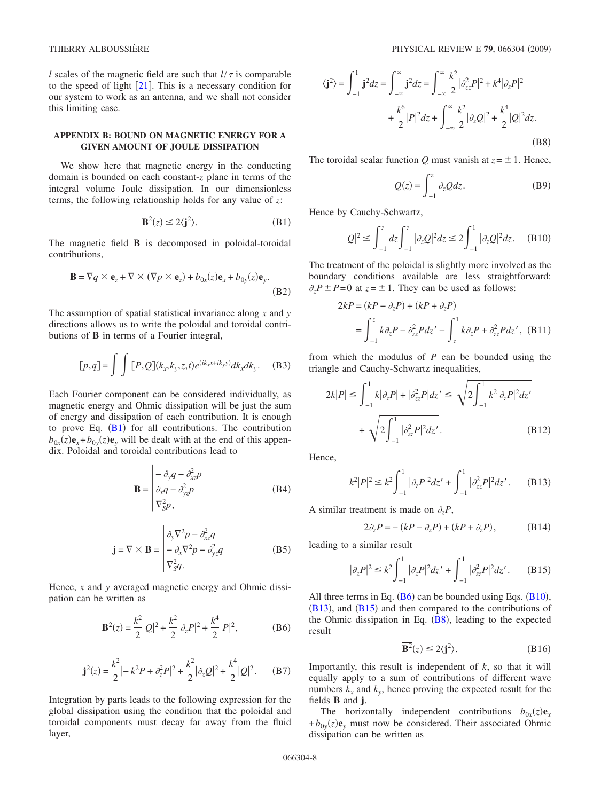*l* scales of the magnetic field are such that  $l / \tau$  is comparable to the speed of light  $\lceil 21 \rceil$ . This is a necessary condition for our system to work as an antenna, and we shall not consider this limiting case.

#### **APPENDIX B: BOUND ON MAGNETIC ENERGY FOR A GIVEN AMOUNT OF JOULE DISSIPATION**

We show here that magnetic energy in the conducting domain is bounded on each constant-*z* plane in terms of the integral volume Joule dissipation. In our dimensionless terms, the following relationship holds for any value of *z*:

$$
\overline{\mathbf{B}^2}(z) \le 2\langle \mathbf{j}^2 \rangle. \tag{B1}
$$

The magnetic field **B** is decomposed in poloidal-toroidal contributions,

$$
\mathbf{B} = \nabla q \times \mathbf{e}_z + \nabla \times (\nabla p \times \mathbf{e}_z) + b_{0x}(z)\mathbf{e}_x + b_{0y}(z)\mathbf{e}_y.
$$
\n(B2)

The assumption of spatial statistical invariance along *x* and *y* directions allows us to write the poloidal and toroidal contributions of **B** in terms of a Fourier integral,

$$
[p,q] = \int \int [P,Q](k_x, k_y, z, t) e^{(ik_x x + ik_y y)} dk_x dk_y.
$$
 (B3)

Each Fourier component can be considered individually, as magnetic energy and Ohmic dissipation will be just the sum of energy and dissipation of each contribution. It is enough to prove Eq.  $(B1)$  for all contributions. The contribution  $b_{0x}(z)\mathbf{e}_x + b_{0y}(z)\mathbf{e}_y$  will be dealt with at the end of this appendix. Poloidal and toroidal contributions lead to

$$
\mathbf{B} = \begin{vmatrix} -\partial_{y} q - \partial_{xz}^{2} p \\ \partial_{x} q - \partial_{yz}^{2} p \\ \nabla_{y}^{2} p, \end{vmatrix}
$$
 (B4)

$$
\mathbf{j} = \nabla \times \mathbf{B} = \begin{vmatrix} \partial_y \nabla^2 p - \partial_{xz}^2 q \\ -\partial_x \nabla^2 p - \partial_{yz}^2 q \\ \nabla_{S}^2 q. \end{vmatrix}
$$
 (B5)

Hence, *x* and *y* averaged magnetic energy and Ohmic dissipation can be written as

$$
\overline{\mathbf{B}^2}(z) = \frac{k^2}{2} |Q|^2 + \frac{k^2}{2} |\partial_z P|^2 + \frac{k^4}{2} |P|^2,
$$
 (B6)

$$
\overline{\mathbf{j}^2}(z) = \frac{k^2}{2} \Big| - k^2 P + \partial_z^2 P \Big|^2 + \frac{k^2}{2} \Big| \partial_z Q \Big|^2 + \frac{k^4}{2} \Big| Q \Big|^2. \tag{B7}
$$

Integration by parts leads to the following expression for the global dissipation using the condition that the poloidal and toroidal components must decay far away from the fluid layer,

$$
\langle \mathbf{j}^2 \rangle = \int_{-1}^1 \overline{\mathbf{j}^2} dz = \int_{-\infty}^{\infty} \overline{\mathbf{j}^2} dz = \int_{-\infty}^{\infty} \frac{k^2}{2} |\partial_{zz}^2 P|^2 + k^4 |\partial_z P|^2 + \frac{k^6}{2} |P|^2 dz + \int_{-\infty}^{\infty} \frac{k^2}{2} |\partial_z Q|^2 + \frac{k^4}{2} |Q|^2 dz.
$$
\n(B8)

The toroidal scalar function *Q* must vanish at  $z = \pm 1$ . Hence,

$$
Q(z) = \int_{-1}^{z} \partial_{z} Q dz.
$$
 (B9)

Hence by Cauchy-Schwartz,

$$
|Q|^2 \le \int_{-1}^z dz \int_{-1}^z |\partial_z Q|^2 dz \le 2 \int_{-1}^1 |\partial_z Q|^2 dz. \quad (B10)
$$

The treatment of the poloidal is slightly more involved as the boundary conditions available are less straightforward:  $\partial_z P \pm P = 0$  at  $z = \pm 1$ . They can be used as follows:

$$
2kP = (kP - \partial_z P) + (kP + \partial_z P)
$$
  
= 
$$
\int_{-1}^{z} k \partial_z P - \partial_{zz}^2 P dz' - \int_{z}^{1} k \partial_z P + \partial_{zz}^2 P dz', \text{ (B11)}
$$

from which the modulus of *P* can be bounded using the triangle and Cauchy-Schwartz inequalities,

$$
2k|P| \le \int_{-1}^{1} k|\partial_z P| + |\partial_{zz}^2 P| dz' \le \sqrt{2\int_{-1}^{1} k^2 |\partial_z P|^2 dz'}
$$
  
+  $\sqrt{2\int_{-1}^{1} |\partial_{zz}^2 P|^2 dz'}$ . (B12)

Hence,

$$
k^2|P|^2 \le k^2 \int_{-1}^1 |\partial_z P|^2 dz' + \int_{-1}^1 |\partial_{zz}^2 P|^2 dz'.
$$
 (B13)

A similar treatment is made on  $\partial_z P$ ,

$$
2\partial_z P = -(kP - \partial_z P) + (kP + \partial_z P), \tag{B14}
$$

leading to a similar result

$$
|\partial_z P|^2 \le k^2 \int_{-1}^1 |\partial_z P|^2 dz' + \int_{-1}^1 |\partial_{zz}^2 P|^2 dz'.
$$
 (B15)

All three terms in Eq.  $(B6)$  can be bounded using Eqs.  $(B10)$ ,  $(B13)$ , and  $(B15)$  and then compared to the contributions of the Ohmic dissipation in Eq.  $(B8)$ , leading to the expected result

$$
\overline{\mathbf{B}^2}(z) \le 2\langle \mathbf{j}^2 \rangle. \tag{B16}
$$

Importantly, this result is independent of *k*, so that it will equally apply to a sum of contributions of different wave numbers  $k_x$  and  $k_y$ , hence proving the expected result for the fields **B** and **j**.

The horizontally independent contributions  $b_{0x}(z)\mathbf{e}_x$  $+b_{0y}(z)\mathbf{e}_y$  must now be considered. Their associated Ohmic dissipation can be written as